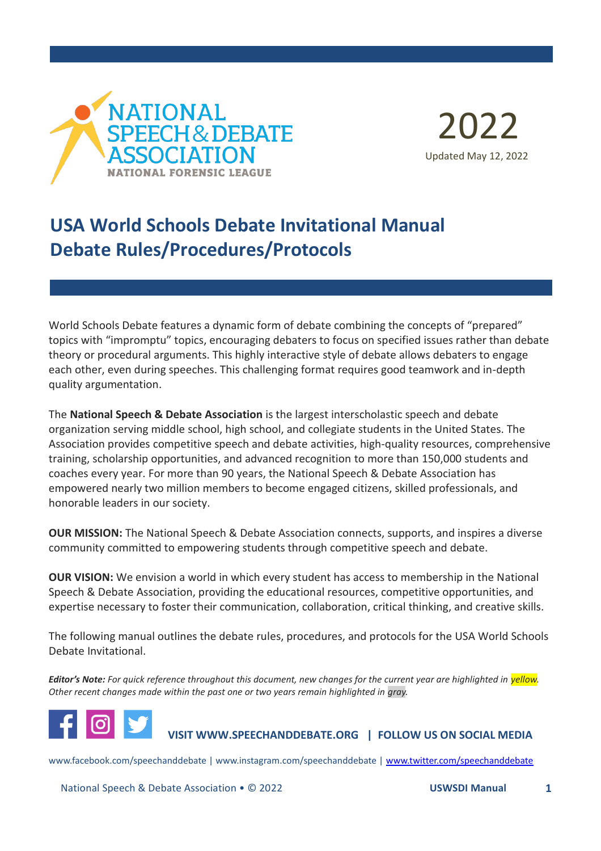



# **USA World Schools Debate Invitational Manual Debate Rules/Procedures/Protocols**

World Schools Debate features a dynamic form of debate combining the concepts of "prepared" topics with "impromptu" topics, encouraging debaters to focus on specified issues rather than debate theory or procedural arguments. This highly interactive style of debate allows debaters to engage each other, even during speeches. This challenging format requires good teamwork and in-depth quality argumentation.

The **National Speech & Debate Association** is the largest interscholastic speech and debate organization serving middle school, high school, and collegiate students in the United States. The Association provides competitive speech and debate activities, high-quality resources, comprehensive training, scholarship opportunities, and advanced recognition to more than 150,000 students and coaches every year. For more than 90 years, the National Speech & Debate Association has empowered nearly two million members to become engaged citizens, skilled professionals, and honorable leaders in our society.

**OUR MISSION:** The National Speech & Debate Association connects, supports, and inspires a diverse community committed to empowering students through competitive speech and debate.

**OUR VISION:** We envision a world in which every student has access to membership in the National Speech & Debate Association, providing the educational resources, competitive opportunities, and expertise necessary to foster their communication, collaboration, critical thinking, and creative skills.

The following manual outlines the debate rules, procedures, and protocols for the USA World Schools Debate Invitational.

*Editor's Note: For quick reference throughout this document, new changes for the current year are highlighted in yellow. Other recent changes made within the past one or two years remain highlighted in gray.*



**VISIT WWW.SPEECHANDDEBATE.ORG | FOLLOW US ON SOCIAL MEDIA**

www.facebook.com/speechanddebate | www.instagram.com/speechanddebate | [www.twitter.com/speechanddebate](http://www.twitter.com/speechanddebate)

National Speech & Debate Association • © 2022 **USWSDI Manual 1**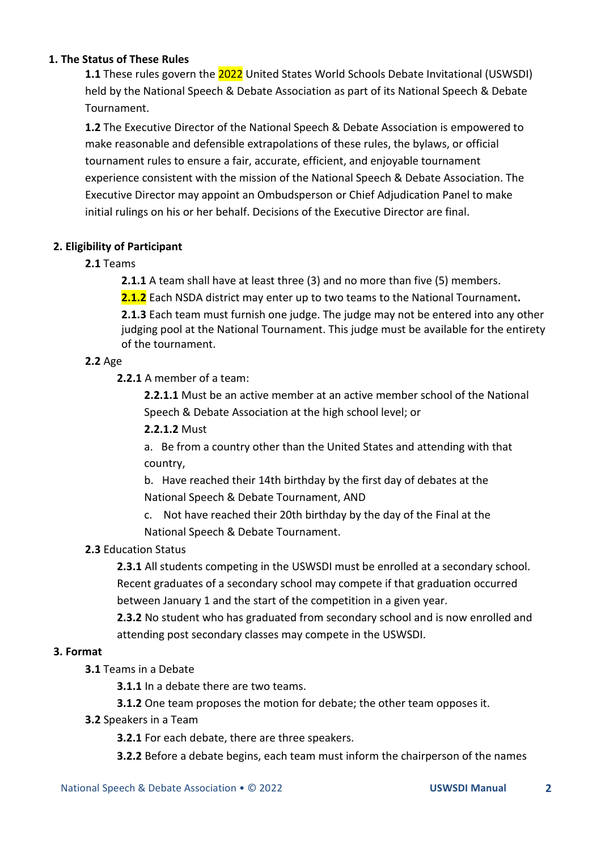#### **1. The Status of These Rules**

**1.1** These rules govern the 2022 United States World Schools Debate Invitational (USWSDI) held by the National Speech & Debate Association as part of its National Speech & Debate Tournament.

**1.2** The Executive Director of the National Speech & Debate Association is empowered to make reasonable and defensible extrapolations of these rules, the bylaws, or official tournament rules to ensure a fair, accurate, efficient, and enjoyable tournament experience consistent with the mission of the National Speech & Debate Association. The Executive Director may appoint an Ombudsperson or Chief Adjudication Panel to make initial rulings on his or her behalf. Decisions of the Executive Director are final.

# **2. Eligibility of Participant**

# **2.1** Teams

**2.1.1** A team shall have at least three (3) and no more than five (5) members.

**2.1.2** Each NSDA district may enter up to two teams to the National Tournament**.**

**2.1.3** Each team must furnish one judge. The judge may not be entered into any other judging pool at the National Tournament. This judge must be available for the entirety of the tournament.

# **2.2** Age

**2.2.1** A member of a team:

**2.2.1.1** Must be an active member at an active member school of the National Speech & Debate Association at the high school level; or

# **2.2.1.2** Must

a. Be from a country other than the United States and attending with that country,

b. Have reached their 14th birthday by the first day of debates at the National Speech & Debate Tournament, AND

c. Not have reached their 20th birthday by the day of the Final at the National Speech & Debate Tournament.

# **2.3** Education Status

**2.3.1** All students competing in the USWSDI must be enrolled at a secondary school. Recent graduates of a secondary school may compete if that graduation occurred between January 1 and the start of the competition in a given year.

**2.3.2** No student who has graduated from secondary school and is now enrolled and attending post secondary classes may compete in the USWSDI.

#### **3. Format**

**3.1** Teams in a Debate

**3.1.1** In a debate there are two teams.

**3.1.2** One team proposes the motion for debate; the other team opposes it.

#### **3.2** Speakers in a Team

**3.2.1** For each debate, there are three speakers.

**3.2.2** Before a debate begins, each team must inform the chairperson of the names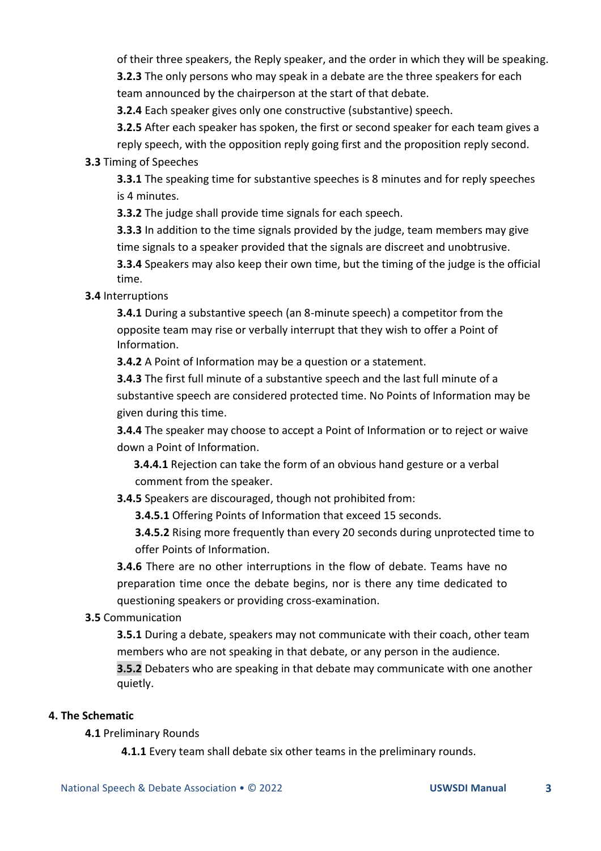of their three speakers, the Reply speaker, and the order in which they will be speaking. **3.2.3** The only persons who may speak in a debate are the three speakers for each team announced by the chairperson at the start of that debate.

**3.2.4** Each speaker gives only one constructive (substantive) speech.

**3.2.5** After each speaker has spoken, the first or second speaker for each team gives a reply speech, with the opposition reply going first and the proposition reply second.

## **3.3** Timing of Speeches

**3.3.1** The speaking time for substantive speeches is 8 minutes and for reply speeches is 4 minutes.

**3.3.2** The judge shall provide time signals for each speech.

**3.3.3** In addition to the time signals provided by the judge, team members may give time signals to a speaker provided that the signals are discreet and unobtrusive.

**3.3.4** Speakers may also keep their own time, but the timing of the judge is the official time.

#### **3.4** Interruptions

**3.4.1** During a substantive speech (an 8-minute speech) a competitor from the opposite team may rise or verbally interrupt that they wish to offer a Point of Information.

**3.4.2** A Point of Information may be a question or a statement.

**3.4.3** The first full minute of a substantive speech and the last full minute of a substantive speech are considered protected time. No Points of Information may be given during this time.

**3.4.4** The speaker may choose to accept a Point of Information or to reject or waive down a Point of Information.

**3.4.4.1** Rejection can take the form of an obvious hand gesture or a verbal comment from the speaker.

**3.4.5** Speakers are discouraged, though not prohibited from:

**3.4.5.1** Offering Points of Information that exceed 15 seconds.

**3.4.5.2** Rising more frequently than every 20 seconds during unprotected time to offer Points of Information.

**3.4.6** There are no other interruptions in the flow of debate. Teams have no preparation time once the debate begins, nor is there any time dedicated to questioning speakers or providing cross-examination.

# **3.5** Communication

**3.5.1** During a debate, speakers may not communicate with their coach, other team members who are not speaking in that debate, or any person in the audience.

**3.5.2** Debaters who are speaking in that debate may communicate with one another quietly.

#### **4. The Schematic**

**4.1** Preliminary Rounds

**4.1.1** Every team shall debate six other teams in the preliminary rounds.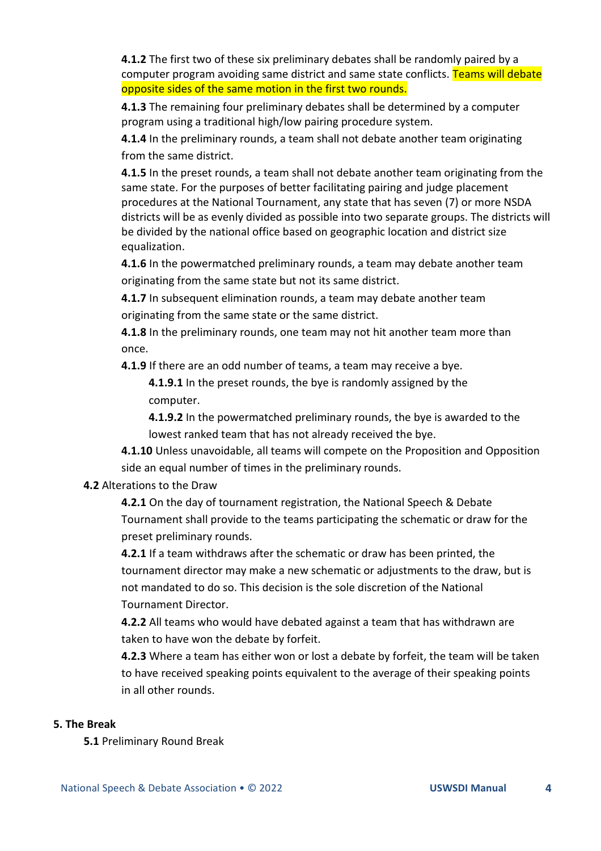**4.1.2** The first two of these six preliminary debates shall be randomly paired by a computer program avoiding same district and same state conflicts. Teams will debate opposite sides of the same motion in the first two rounds.

**4.1.3** The remaining four preliminary debates shall be determined by a computer program using a traditional high/low pairing procedure system.

**4.1.4** In the preliminary rounds, a team shall not debate another team originating from the same district.

**4.1.5** In the preset rounds, a team shall not debate another team originating from the same state. For the purposes of better facilitating pairing and judge placement procedures at the National Tournament, any state that has seven (7) or more NSDA districts will be as evenly divided as possible into two separate groups. The districts will be divided by the national office based on geographic location and district size equalization.

**4.1.6** In the powermatched preliminary rounds, a team may debate another team originating from the same state but not its same district.

**4.1.7** In subsequent elimination rounds, a team may debate another team originating from the same state or the same district.

**4.1.8** In the preliminary rounds, one team may not hit another team more than once.

**4.1.9** If there are an odd number of teams, a team may receive a bye.

**4.1.9.1** In the preset rounds, the bye is randomly assigned by the computer.

**4.1.9.2** In the powermatched preliminary rounds, the bye is awarded to the lowest ranked team that has not already received the bye.

**4.1.10** Unless unavoidable, all teams will compete on the Proposition and Opposition side an equal number of times in the preliminary rounds.

# **4.2** Alterations to the Draw

**4.2.1** On the day of tournament registration, the National Speech & Debate Tournament shall provide to the teams participating the schematic or draw for the preset preliminary rounds.

**4.2.1** If a team withdraws after the schematic or draw has been printed, the tournament director may make a new schematic or adjustments to the draw, but is not mandated to do so. This decision is the sole discretion of the National Tournament Director.

**4.2.2** All teams who would have debated against a team that has withdrawn are taken to have won the debate by forfeit.

**4.2.3** Where a team has either won or lost a debate by forfeit, the team will be taken to have received speaking points equivalent to the average of their speaking points in all other rounds.

# **5. The Break**

**5.1** Preliminary Round Break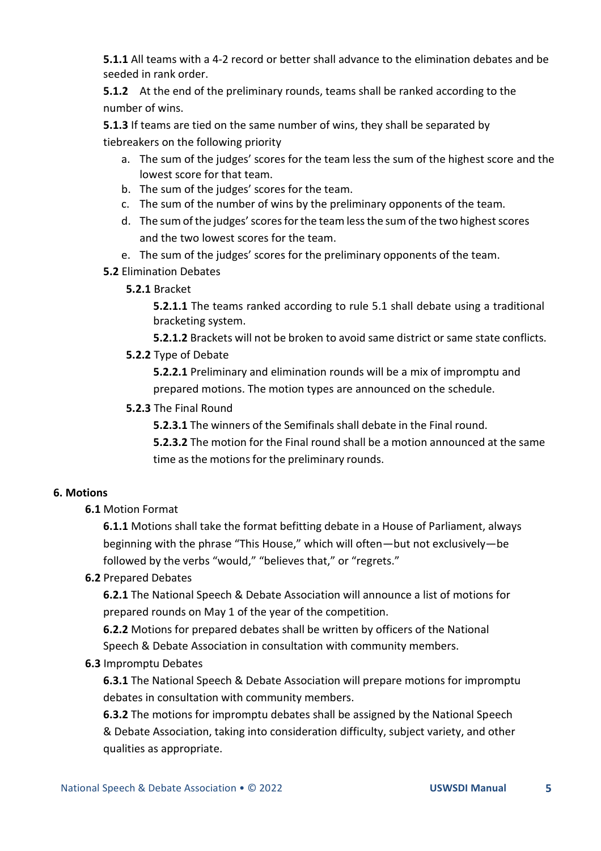**5.1.1** All teams with a 4-2 record or better shall advance to the elimination debates and be seeded in rank order.

**5.1.2** At the end of the preliminary rounds, teams shall be ranked according to the number of wins.

**5.1.3** If teams are tied on the same number of wins, they shall be separated by tiebreakers on the following priority

- a. The sum of the judges' scores for the team less the sum of the highest score and the lowest score for that team.
- b. The sum of the judges' scores for the team.
- c. The sum of the number of wins by the preliminary opponents of the team.
- d. The sum of the judges' scores for the team less the sum of the two highest scores and the two lowest scores for the team.
- e. The sum of the judges' scores for the preliminary opponents of the team.
- **5.2** Elimination Debates
	- **5.2.1** Bracket

**5.2.1.1** The teams ranked according to rule 5.1 shall debate using a traditional bracketing system.

**5.2.1.2** Brackets will not be broken to avoid same district or same state conflicts.

**5.2.2** Type of Debate

**5.2.2.1** Preliminary and elimination rounds will be a mix of impromptu and prepared motions. The motion types are announced on the schedule.

**5.2.3** The Final Round

**5.2.3.1** The winners of the Semifinals shall debate in the Final round.

**5.2.3.2** The motion for the Final round shall be a motion announced at the same time as the motions for the preliminary rounds.

# **6. Motions**

**6.1** Motion Format

**6.1.1** Motions shall take the format befitting debate in a House of Parliament, always beginning with the phrase "This House," which will often—but not exclusively—be followed by the verbs "would," "believes that," or "regrets."

# **6.2** Prepared Debates

**6.2.1** The National Speech & Debate Association will announce a list of motions for prepared rounds on May 1 of the year of the competition.

**6.2.2** Motions for prepared debates shall be written by officers of the National Speech & Debate Association in consultation with community members.

# **6.3** Impromptu Debates

**6.3.1** The National Speech & Debate Association will prepare motions for impromptu debates in consultation with community members.

**6.3.2** The motions for impromptu debates shall be assigned by the National Speech & Debate Association, taking into consideration difficulty, subject variety, and other qualities as appropriate.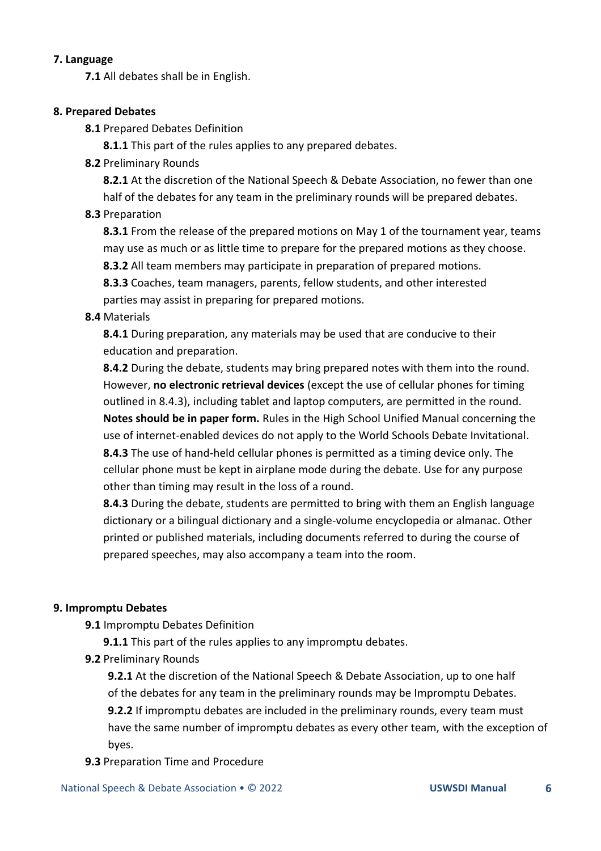#### **7. Language**

**7.1** All debates shall be in English.

#### **8. Prepared Debates**

**8.1** Prepared Debates Definition

**8.1.1** This part of the rules applies to any prepared debates.

**8.2** Preliminary Rounds

**8.2.1** At the discretion of the National Speech & Debate Association, no fewer than one half of the debates for any team in the preliminary rounds will be prepared debates.

# **8.3** Preparation

**8.3.1** From the release of the prepared motions on May 1 of the tournament year, teams may use as much or as little time to prepare for the prepared motions as they choose.

**8.3.2** All team members may participate in preparation of prepared motions.

**8.3.3** Coaches, team managers, parents, fellow students, and other interested parties may assist in preparing for prepared motions.

# **8.4** Materials

**8.4.1** During preparation, any materials may be used that are conducive to their education and preparation.

**8.4.2** During the debate, students may bring prepared notes with them into the round. However, **no electronic retrieval devices** (except the use of cellular phones for timing outlined in 8.4.3), including tablet and laptop computers, are permitted in the round. **Notes should be in paper form.** Rules in the High School Unified Manual concerning the use of internet-enabled devices do not apply to the World Schools Debate Invitational. **8.4.3** The use of hand-held cellular phones is permitted as a timing device only. The cellular phone must be kept in airplane mode during the debate. Use for any purpose other than timing may result in the loss of a round.

**8.4.3** During the debate, students are permitted to bring with them an English language dictionary or a bilingual dictionary and a single-volume encyclopedia or almanac. Other printed or published materials, including documents referred to during the course of prepared speeches, may also accompany a team into the room.

# **9. Impromptu Debates**

**9.1** Impromptu Debates Definition

**9.1.1** This part of the rules applies to any impromptu debates.

**9.2** Preliminary Rounds

**9.2.1** At the discretion of the National Speech & Debate Association, up to one half of the debates for any team in the preliminary rounds may be Impromptu Debates. **9.2.2** If impromptu debates are included in the preliminary rounds, every team must have the same number of impromptu debates as every other team, with the exception of byes.

# **9.3** Preparation Time and Procedure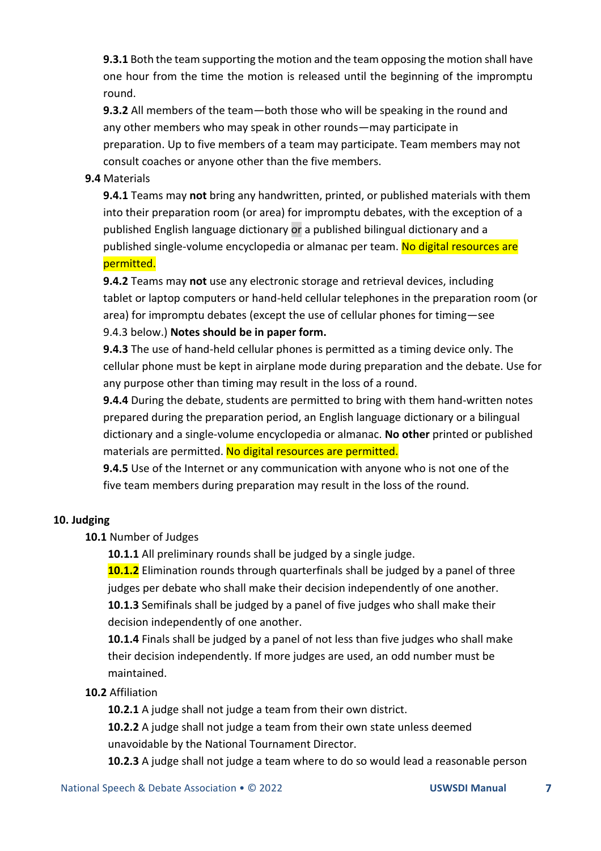**9.3.1** Both the team supporting the motion and the team opposing the motion shall have one hour from the time the motion is released until the beginning of the impromptu round.

**9.3.2** All members of the team—both those who will be speaking in the round and any other members who may speak in other rounds—may participate in preparation. Up to five members of a team may participate. Team members may not consult coaches or anyone other than the five members.

## **9.4** Materials

**9.4.1** Teams may **not** bring any handwritten, printed, or published materials with them into their preparation room (or area) for impromptu debates, with the exception of a published English language dictionary or a published bilingual dictionary and a published single-volume encyclopedia or almanac per team. No digital resources are permitted.

**9.4.2** Teams may **not** use any electronic storage and retrieval devices, including tablet or laptop computers or hand-held cellular telephones in the preparation room (or area) for impromptu debates (except the use of cellular phones for timing—see 9.4.3 below.) **Notes should be in paper form.**

**9.4.3** The use of hand-held cellular phones is permitted as a timing device only. The cellular phone must be kept in airplane mode during preparation and the debate. Use for any purpose other than timing may result in the loss of a round.

**9.4.4** During the debate, students are permitted to bring with them hand-written notes prepared during the preparation period, an English language dictionary or a bilingual dictionary and a single-volume encyclopedia or almanac. **No other** printed or published materials are permitted. No digital resources are permitted.

**9.4.5** Use of the Internet or any communication with anyone who is not one of the five team members during preparation may result in the loss of the round.

#### **10. Judging**

**10.1** Number of Judges

**10.1.1** All preliminary rounds shall be judged by a single judge.

**10.1.2** Elimination rounds through quarterfinals shall be judged by a panel of three judges per debate who shall make their decision independently of one another. **10.1.3** Semifinals shall be judged by a panel of five judges who shall make their decision independently of one another.

**10.1.4** Finals shall be judged by a panel of not less than five judges who shall make their decision independently. If more judges are used, an odd number must be maintained.

#### **10.2** Affiliation

**10.2.1** A judge shall not judge a team from their own district.

**10.2.2** A judge shall not judge a team from their own state unless deemed unavoidable by the National Tournament Director.

**10.2.3** A judge shall not judge a team where to do so would lead a reasonable person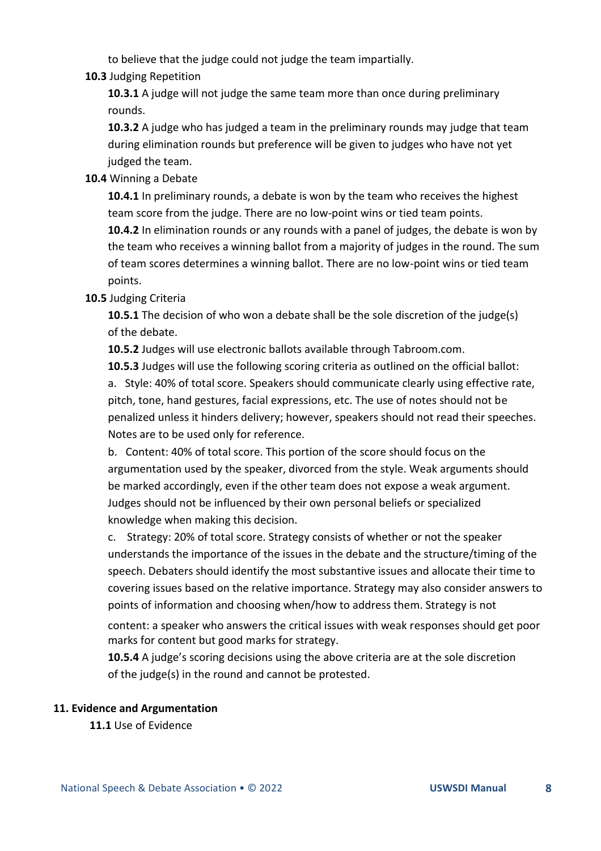to believe that the judge could not judge the team impartially.

#### **10.3** Judging Repetition

**10.3.1** A judge will not judge the same team more than once during preliminary rounds.

**10.3.2** A judge who has judged a team in the preliminary rounds may judge that team during elimination rounds but preference will be given to judges who have not yet judged the team.

# **10.4** Winning a Debate

**10.4.1** In preliminary rounds, a debate is won by the team who receives the highest team score from the judge. There are no low-point wins or tied team points.

**10.4.2** In elimination rounds or any rounds with a panel of judges, the debate is won by the team who receives a winning ballot from a majority of judges in the round. The sum of team scores determines a winning ballot. There are no low-point wins or tied team points.

#### **10.5** Judging Criteria

**10.5.1** The decision of who won a debate shall be the sole discretion of the judge(s) of the debate.

**10.5.2** Judges will use electronic ballots available through Tabroom.com.

**10.5.3** Judges will use the following scoring criteria as outlined on the official ballot: a. Style: 40% of total score. Speakers should communicate clearly using effective rate, pitch, tone, hand gestures, facial expressions, etc. The use of notes should not be penalized unless it hinders delivery; however, speakers should not read their speeches. Notes are to be used only for reference.

b. Content: 40% of total score. This portion of the score should focus on the argumentation used by the speaker, divorced from the style. Weak arguments should be marked accordingly, even if the other team does not expose a weak argument. Judges should not be influenced by their own personal beliefs or specialized knowledge when making this decision.

c. Strategy: 20% of total score. Strategy consists of whether or not the speaker understands the importance of the issues in the debate and the structure/timing of the speech. Debaters should identify the most substantive issues and allocate their time to covering issues based on the relative importance. Strategy may also consider answers to points of information and choosing when/how to address them. Strategy is not

content: a speaker who answers the critical issues with weak responses should get poor marks for content but good marks for strategy.

**10.5.4** A judge's scoring decisions using the above criteria are at the sole discretion of the judge(s) in the round and cannot be protested.

#### **11. Evidence and Argumentation**

**11.1** Use of Evidence